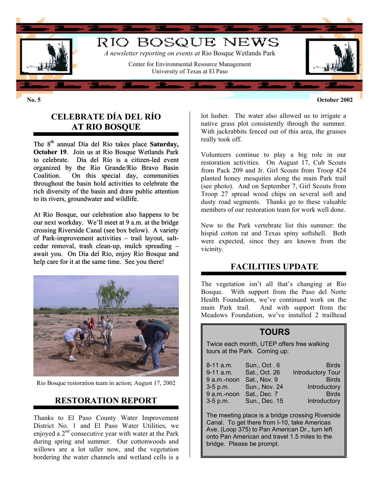

# **CELEBRATE DÍA DEL RÍO AT RIO BOSQUE**

The 8<sup>th</sup> annual Día del Río takes place **Saturday**, **October 19.** Join us at Rio Bosque Wetlands Park to celebrate. Día del Río is a citizen-led event organized by the Rio Grande/Río Bravo Basin Coalition. On this special day, communities throughout the basin hold activities to celebrate the rich diversity of the basin and draw public attention to its rivers, groundwater and wildlife.

At Rio Bosque, our celebration also happens to be our next workday. We'll meet at 9 a.m. at the bridge crossing Riverside Canal (see box below). A variety of Park-improvement activities – trail layout, saltcedar removal, trash clean-up, mulch spreading – await you. On Día del Río, enjoy Rio Bosque and help care for it at the same time. See you there!



Rio Bosque restoration team in action; August 17, 2002

# **RESTORATION REPORT**

Thanks to El Paso County Water Improvement District No. 1 and El Paso Water Utilities, we enjoyed a  $2<sup>nd</sup>$  consecutive year with water at the Park during spring and summer. Our cottonwoods and willows are a lot taller now, and the vegetation bordering the water channels and wetland cells is a

**No. 5 October 2002**

lot lusher. The water also allowed us to irrigate a native grass plot consistently through the summer. With jackrabbits fenced out of this area, the grasses really took off.

Volunteers continue to play a big role in our restoration activities. On August 17, Cub Scouts from Pack 209 and Jr. Girl Scouts from Troop 424 planted honey mesquites along the main Park trail (see photo). And on September 7, Girl Scouts from Troop 27 spread wood chips on several soft and dusty road segments. Thanks go to these valuable members of our restoration team for work well done.

New to the Park vertebrate list this summer: the hispid cotton rat and Texas spiny softshell. Both were expected, since they are known from the vicinity.

# **FACILITIES UPDATE**

The vegetation isn't all that's changing at Rio Bosque. With support from the Paso del Norte Health Foundation, we've continued work on the main Park trail. And with support from the Meadows Foundation, we've installed 2 trailhead

#### **TOURS**

Twice each month, UTEP offers free walking tours at the Park. Coming up:

| Sun., Oct. 6  | <b>Birds</b>             |
|---------------|--------------------------|
| Sat., Oct. 26 | <b>Introductory Tour</b> |
| Sat., Nov. 9  | <b>Birds</b>             |
|               | Introductory             |
| Sat., Dec. 7  | <b>Birds</b>             |
| Sun., Dec. 15 | Introductory             |
|               | <b>Sun., Nov. 24</b>     |

The meeting place is a bridge crossing Riverside Canal. To get there from I-10, take Americas Ave. (Loop 375) to Pan American Dr., turn left onto Pan American and travel 1.5 miles to the bridge. Please be prompt.